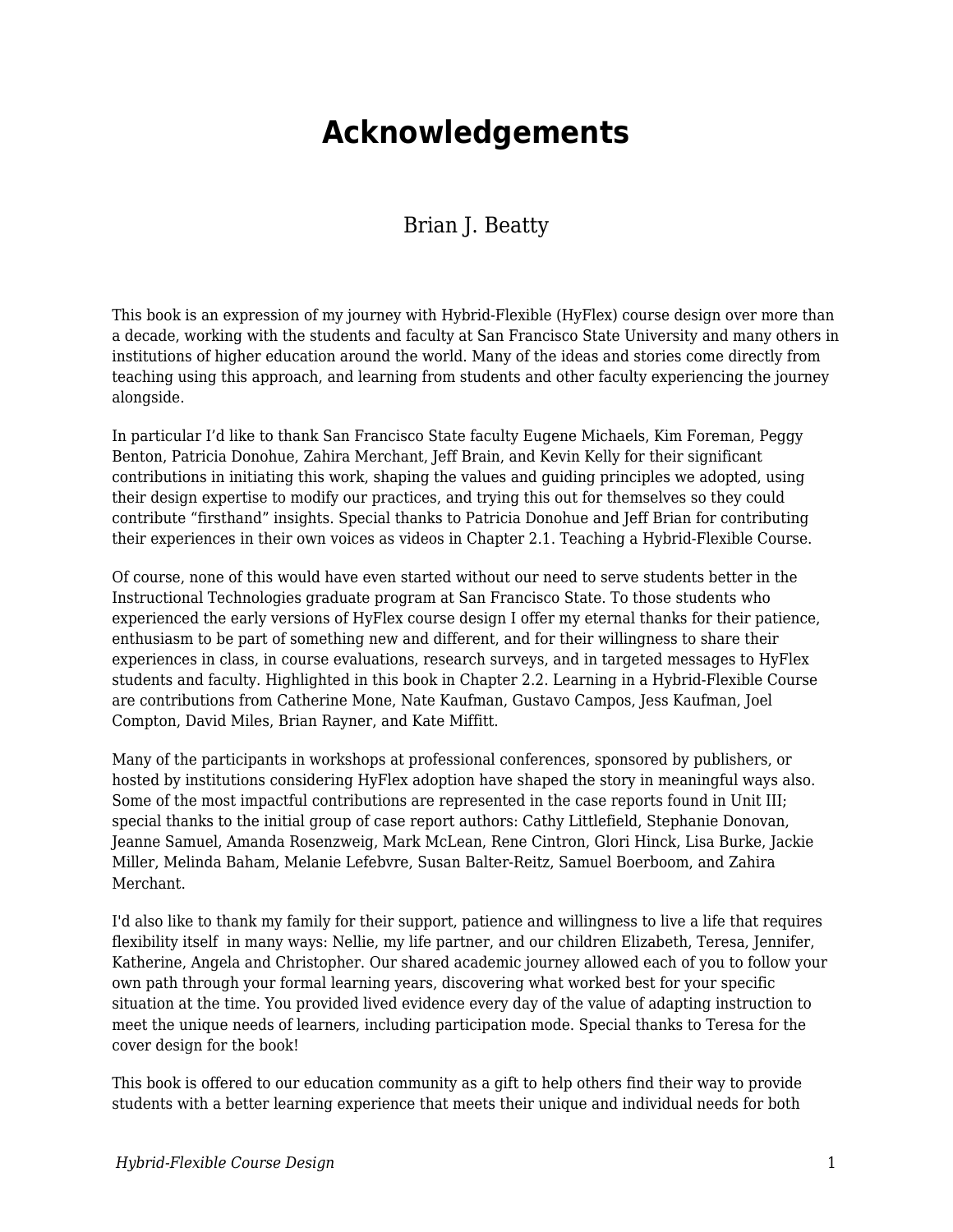## **Acknowledgements**

## Brian J. Beatty

This book is an expression of my journey with Hybrid-Flexible (HyFlex) course design over more than a decade, working with the students and faculty at San Francisco State University and many others in institutions of higher education around the world. Many of the ideas and stories come directly from teaching using this approach, and learning from students and other faculty experiencing the journey alongside.

In particular I'd like to thank San Francisco State faculty Eugene Michaels, Kim Foreman, Peggy Benton, Patricia Donohue, Zahira Merchant, Jeff Brain, and Kevin Kelly for their significant contributions in initiating this work, shaping the values and guiding principles we adopted, using their design expertise to modify our practices, and trying this out for themselves so they could contribute "firsthand" insights. Special thanks to Patricia Donohue and Jeff Brian for contributing their experiences in their own voices as videos in Chapter 2.1. Teaching a Hybrid-Flexible Course.

Of course, none of this would have even started without our need to serve students better in the Instructional Technologies graduate program at San Francisco State. To those students who experienced the early versions of HyFlex course design I offer my eternal thanks for their patience, enthusiasm to be part of something new and different, and for their willingness to share their experiences in class, in course evaluations, research surveys, and in targeted messages to HyFlex students and faculty. Highlighted in this book in Chapter 2.2. Learning in a Hybrid-Flexible Course are contributions from Catherine Mone, Nate Kaufman, Gustavo Campos, Jess Kaufman, Joel Compton, David Miles, Brian Rayner, and Kate Miffitt.

Many of the participants in workshops at professional conferences, sponsored by publishers, or hosted by institutions considering HyFlex adoption have shaped the story in meaningful ways also. Some of the most impactful contributions are represented in the case reports found in Unit III; special thanks to the initial group of case report authors: Cathy Littlefield, Stephanie Donovan, Jeanne Samuel, Amanda Rosenzweig, Mark McLean, Rene Cintron, Glori Hinck, Lisa Burke, Jackie Miller, Melinda Baham, Melanie Lefebvre, Susan Balter-Reitz, Samuel Boerboom, and Zahira Merchant.

I'd also like to thank my family for their support, patience and willingness to live a life that requires flexibility itself in many ways: Nellie, my life partner, and our children Elizabeth, Teresa, Jennifer, Katherine, Angela and Christopher. Our shared academic journey allowed each of you to follow your own path through your formal learning years, discovering what worked best for your specific situation at the time. You provided lived evidence every day of the value of adapting instruction to meet the unique needs of learners, including participation mode. Special thanks to Teresa for the cover design for the book!

This book is offered to our education community as a gift to help others find their way to provide students with a better learning experience that meets their unique and individual needs for both